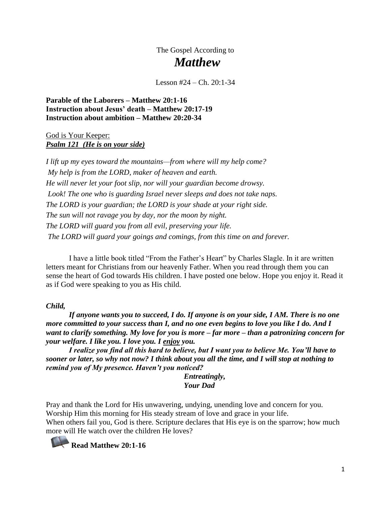The Gospel According to  *Matthew*

Lesson  $\#24 - Ch$ . 20:1-34

**Parable of the Laborers – Matthew 20:1-16 Instruction about Jesus' death – Matthew 20:17-19 Instruction about ambition – Matthew 20:20-34**

God is Your Keeper: *Psalm 121 (He is on your side)*

*I lift up my eyes toward the mountains—from where will my help come? My help is from the LORD, maker of heaven and earth. He will never let your foot slip, nor will your guardian become drowsy. Look! The one who is guarding Israel never sleeps and does not take naps. The LORD is your guardian; the LORD is your shade at your right side. The sun will not ravage you by day, nor the moon by night. The LORD will guard you from all evil, preserving your life. The LORD will guard your goings and comings, from this time on and forever.*

 I have a little book titled "From the Father's Heart" by Charles Slagle. In it are written letters meant for Christians from our heavenly Father. When you read through them you can sense the heart of God towards His children. I have posted one below. Hope you enjoy it. Read it as if God were speaking to you as His child.

#### *Child,*

 *If anyone wants you to succeed, I do. If anyone is on your side, I AM. There is no one more committed to your success than I, and no one even begins to love you like I do. And I want to clarify something. My love for you is more – far more – than a patronizing concern for your welfare. I like you. I love you. I enjoy you.*

 *I realize you find all this hard to believe, but I want you to believe Me. You'll have to sooner or later, so why not now? I think about you all the time, and I will stop at nothing to remind you of My presence. Haven't you noticed?*

> *Entreatingly, Your Dad*

Pray and thank the Lord for His unwavering, undying, unending love and concern for you. Worship Him this morning for His steady stream of love and grace in your life. When others fail you, God is there. Scripture declares that His eye is on the sparrow; how much more will He watch over the children He loves?

**Read Matthew 20:1-16**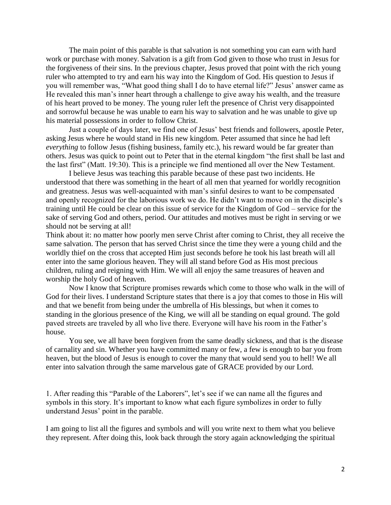The main point of this parable is that salvation is not something you can earn with hard work or purchase with money. Salvation is a gift from God given to those who trust in Jesus for the forgiveness of their sins. In the previous chapter, Jesus proved that point with the rich young ruler who attempted to try and earn his way into the Kingdom of God. His question to Jesus if you will remember was, "What good thing shall I do to have eternal life?" Jesus' answer came as He revealed this man's inner heart through a challenge to give away his wealth, and the treasure of his heart proved to be money. The young ruler left the presence of Christ very disappointed and sorrowful because he was unable to earn his way to salvation and he was unable to give up his material possessions in order to follow Christ.

Just a couple of days later, we find one of Jesus' best friends and followers, apostle Peter, asking Jesus where he would stand in His new kingdom. Peter assumed that since he had left *everything* to follow Jesus (fishing business, family etc.), his reward would be far greater than others. Jesus was quick to point out to Peter that in the eternal kingdom "the first shall be last and the last first" (Matt. 19:30). This is a principle we find mentioned all over the New Testament.

I believe Jesus was teaching this parable because of these past two incidents. He understood that there was something in the heart of all men that yearned for worldly recognition and greatness. Jesus was well-acquainted with man's sinful desires to want to be compensated and openly recognized for the laborious work we do. He didn't want to move on in the disciple's training until He could be clear on this issue of service for the Kingdom of God – service for the sake of serving God and others, period. Our attitudes and motives must be right in serving or we should not be serving at all!

Think about it: no matter how poorly men serve Christ after coming to Christ, they all receive the same salvation. The person that has served Christ since the time they were a young child and the worldly thief on the cross that accepted Him just seconds before he took his last breath will all enter into the same glorious heaven. They will all stand before God as His most precious children, ruling and reigning with Him. We will all enjoy the same treasures of heaven and worship the holy God of heaven.

Now I know that Scripture promises rewards which come to those who walk in the will of God for their lives. I understand Scripture states that there is a joy that comes to those in His will and that we benefit from being under the umbrella of His blessings, but when it comes to standing in the glorious presence of the King, we will all be standing on equal ground. The gold paved streets are traveled by all who live there. Everyone will have his room in the Father's house.

You see, we all have been forgiven from the same deadly sickness, and that is the disease of carnality and sin. Whether you have committed many or few, a few is enough to bar you from heaven, but the blood of Jesus is enough to cover the many that would send you to hell! We all enter into salvation through the same marvelous gate of GRACE provided by our Lord.

1. After reading this "Parable of the Laborers", let's see if we can name all the figures and symbols in this story. It's important to know what each figure symbolizes in order to fully understand Jesus' point in the parable.

I am going to list all the figures and symbols and will you write next to them what you believe they represent. After doing this, look back through the story again acknowledging the spiritual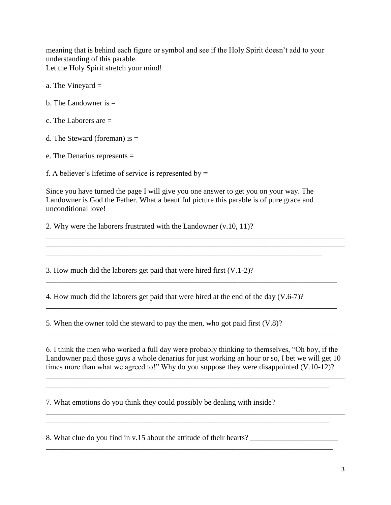meaning that is behind each figure or symbol and see if the Holy Spirit doesn't add to your understanding of this parable. Let the Holy Spirit stretch your mind!

- a. The Vineyard =
- b. The Landowner is  $=$
- c. The Laborers are =
- d. The Steward (foreman) is  $=$
- e. The Denarius represents =

f. A believer's lifetime of service is represented by  $=$ 

Since you have turned the page I will give you one answer to get you on your way. The Landowner is God the Father. What a beautiful picture this parable is of pure grace and unconditional love!

\_\_\_\_\_\_\_\_\_\_\_\_\_\_\_\_\_\_\_\_\_\_\_\_\_\_\_\_\_\_\_\_\_\_\_\_\_\_\_\_\_\_\_\_\_\_\_\_\_\_\_\_\_\_\_\_\_\_\_\_\_\_\_\_\_\_\_\_\_\_\_\_

\_\_\_\_\_\_\_\_\_\_\_\_\_\_\_\_\_\_\_\_\_\_\_\_\_\_\_\_\_\_\_\_\_\_\_\_\_\_\_\_\_\_\_\_\_\_\_\_\_\_\_\_\_\_\_\_\_\_\_\_\_\_\_\_\_\_\_\_\_\_\_\_\_\_\_\_\_\_ \_\_\_\_\_\_\_\_\_\_\_\_\_\_\_\_\_\_\_\_\_\_\_\_\_\_\_\_\_\_\_\_\_\_\_\_\_\_\_\_\_\_\_\_\_\_\_\_\_\_\_\_\_\_\_\_\_\_\_\_\_\_\_\_\_\_\_\_\_\_\_\_\_\_\_\_\_\_

\_\_\_\_\_\_\_\_\_\_\_\_\_\_\_\_\_\_\_\_\_\_\_\_\_\_\_\_\_\_\_\_\_\_\_\_\_\_\_\_\_\_\_\_\_\_\_\_\_\_\_\_\_\_\_\_\_\_\_\_\_\_\_\_\_\_\_\_\_\_\_\_\_\_\_\_

\_\_\_\_\_\_\_\_\_\_\_\_\_\_\_\_\_\_\_\_\_\_\_\_\_\_\_\_\_\_\_\_\_\_\_\_\_\_\_\_\_\_\_\_\_\_\_\_\_\_\_\_\_\_\_\_\_\_\_\_\_\_\_\_\_\_\_\_\_\_\_\_\_\_\_\_

\_\_\_\_\_\_\_\_\_\_\_\_\_\_\_\_\_\_\_\_\_\_\_\_\_\_\_\_\_\_\_\_\_\_\_\_\_\_\_\_\_\_\_\_\_\_\_\_\_\_\_\_\_\_\_\_\_\_\_\_\_\_\_\_\_\_\_\_\_\_\_\_\_\_\_\_

2. Why were the laborers frustrated with the Landowner (v.10, 11)?

3. How much did the laborers get paid that were hired first (V.1-2)?

4. How much did the laborers get paid that were hired at the end of the day (V.6-7)?

5. When the owner told the steward to pay the men, who got paid first (V.8)?

6. I think the men who worked a full day were probably thinking to themselves, "Oh boy, if the Landowner paid those guys a whole denarius for just working an hour or so, I bet we will get 10 times more than what we agreed to!" Why do you suppose they were disappointed (V.10-12)?

\_\_\_\_\_\_\_\_\_\_\_\_\_\_\_\_\_\_\_\_\_\_\_\_\_\_\_\_\_\_\_\_\_\_\_\_\_\_\_\_\_\_\_\_\_\_\_\_\_\_\_\_\_\_\_\_\_\_\_\_\_\_\_\_\_\_\_\_\_\_\_\_\_\_\_\_\_\_ \_\_\_\_\_\_\_\_\_\_\_\_\_\_\_\_\_\_\_\_\_\_\_\_\_\_\_\_\_\_\_\_\_\_\_\_\_\_\_\_\_\_\_\_\_\_\_\_\_\_\_\_\_\_\_\_\_\_\_\_\_\_\_\_\_\_\_\_\_\_\_\_\_\_

\_\_\_\_\_\_\_\_\_\_\_\_\_\_\_\_\_\_\_\_\_\_\_\_\_\_\_\_\_\_\_\_\_\_\_\_\_\_\_\_\_\_\_\_\_\_\_\_\_\_\_\_\_\_\_\_\_\_\_\_\_\_\_\_\_\_\_\_\_\_\_\_\_\_\_\_\_\_ \_\_\_\_\_\_\_\_\_\_\_\_\_\_\_\_\_\_\_\_\_\_\_\_\_\_\_\_\_\_\_\_\_\_\_\_\_\_\_\_\_\_\_\_\_\_\_\_\_\_\_\_\_\_\_\_\_\_\_\_\_\_\_\_\_\_\_\_\_\_\_\_\_\_

\_\_\_\_\_\_\_\_\_\_\_\_\_\_\_\_\_\_\_\_\_\_\_\_\_\_\_\_\_\_\_\_\_\_\_\_\_\_\_\_\_\_\_\_\_\_\_\_\_\_\_\_\_\_\_\_\_\_\_\_\_\_\_\_\_\_\_\_\_\_\_\_\_\_\_

7. What emotions do you think they could possibly be dealing with inside?

8. What clue do you find in v.15 about the attitude of their hearts? \_\_\_\_\_\_\_\_\_\_\_\_\_\_\_\_\_\_\_\_\_\_\_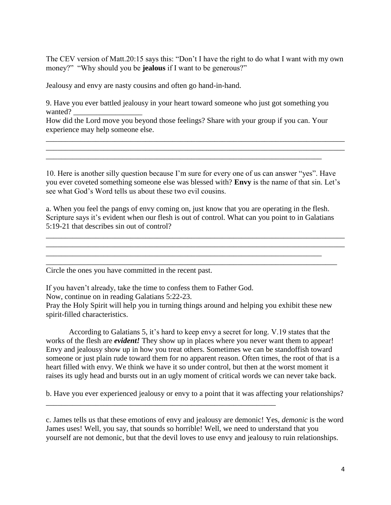The CEV version of Matt.20:15 says this: "Don't I have the right to do what I want with my own money?" "Why should you be **jealous** if I want to be generous?"

Jealousy and envy are nasty cousins and often go hand-in-hand.

9. Have you ever battled jealousy in your heart toward someone who just got something you wanted?

How did the Lord move you beyond those feelings? Share with your group if you can. Your experience may help someone else.

\_\_\_\_\_\_\_\_\_\_\_\_\_\_\_\_\_\_\_\_\_\_\_\_\_\_\_\_\_\_\_\_\_\_\_\_\_\_\_\_\_\_\_\_\_\_\_\_\_\_\_\_\_\_\_\_\_\_\_\_\_\_\_\_\_\_\_\_\_\_\_\_

10. Here is another silly question because I'm sure for every one of us can answer "yes". Have you ever coveted something someone else was blessed with? **Envy** is the name of that sin. Let's see what God's Word tells us about these two evil cousins.

\_\_\_\_\_\_\_\_\_\_\_\_\_\_\_\_\_\_\_\_\_\_\_\_\_\_\_\_\_\_\_\_\_\_\_\_\_\_\_\_\_\_\_\_\_\_\_\_\_\_\_\_\_\_\_\_\_\_\_\_\_\_\_\_\_\_\_\_\_\_\_\_\_\_\_\_\_\_ \_\_\_\_\_\_\_\_\_\_\_\_\_\_\_\_\_\_\_\_\_\_\_\_\_\_\_\_\_\_\_\_\_\_\_\_\_\_\_\_\_\_\_\_\_\_\_\_\_\_\_\_\_\_\_\_\_\_\_\_\_\_\_\_\_\_\_\_\_\_\_\_\_\_\_\_\_\_

a. When you feel the pangs of envy coming on, just know that you are operating in the flesh. Scripture says it's evident when our flesh is out of control. What can you point to in Galatians 5:19-21 that describes sin out of control?

\_\_\_\_\_\_\_\_\_\_\_\_\_\_\_\_\_\_\_\_\_\_\_\_\_\_\_\_\_\_\_\_\_\_\_\_\_\_\_\_\_\_\_\_\_\_\_\_\_\_\_\_\_\_\_\_\_\_\_\_\_\_\_\_\_\_\_\_\_\_\_\_ \_\_\_\_\_\_\_\_\_\_\_\_\_\_\_\_\_\_\_\_\_\_\_\_\_\_\_\_\_\_\_\_\_\_\_\_\_\_\_\_\_\_\_\_\_\_\_\_\_\_\_\_\_\_\_\_\_\_\_\_\_\_\_\_\_\_\_\_\_\_\_\_\_\_\_\_

\_\_\_\_\_\_\_\_\_\_\_\_\_\_\_\_\_\_\_\_\_\_\_\_\_\_\_\_\_\_\_\_\_\_\_\_\_\_\_\_\_\_\_\_\_\_\_\_\_\_\_\_\_\_\_\_\_\_\_\_\_\_\_\_\_\_\_\_\_\_\_\_\_\_\_\_\_\_ \_\_\_\_\_\_\_\_\_\_\_\_\_\_\_\_\_\_\_\_\_\_\_\_\_\_\_\_\_\_\_\_\_\_\_\_\_\_\_\_\_\_\_\_\_\_\_\_\_\_\_\_\_\_\_\_\_\_\_\_\_\_\_\_\_\_\_\_\_\_\_\_\_\_\_\_\_\_

Circle the ones you have committed in the recent past.

If you haven't already, take the time to confess them to Father God.

\_\_\_\_\_\_\_\_\_\_\_\_\_\_\_\_\_\_\_\_\_\_\_\_\_\_\_\_\_\_\_\_\_\_\_\_\_\_\_\_\_\_\_\_\_\_\_\_\_\_\_\_\_\_\_\_\_\_\_\_

Now, continue on in reading Galatians 5:22-23.

Pray the Holy Spirit will help you in turning things around and helping you exhibit these new spirit-filled characteristics.

 According to Galatians 5, it's hard to keep envy a secret for long. V.19 states that the works of the flesh are *evident!* They show up in places where you never want them to appear! Envy and jealousy show up in how you treat others. Sometimes we can be standoffish toward someone or just plain rude toward them for no apparent reason. Often times, the root of that is a heart filled with envy. We think we have it so under control, but then at the worst moment it raises its ugly head and bursts out in an ugly moment of critical words we can never take back.

b. Have you ever experienced jealousy or envy to a point that it was affecting your relationships?

c. James tells us that these emotions of envy and jealousy are demonic! Yes, *demonic* is the word James uses! Well, you say, that sounds so horrible! Well, we need to understand that you yourself are not demonic, but that the devil loves to use envy and jealousy to ruin relationships.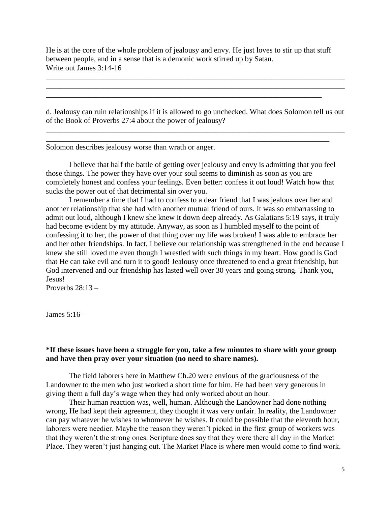He is at the core of the whole problem of jealousy and envy. He just loves to stir up that stuff between people, and in a sense that is a demonic work stirred up by Satan. Write out James 3:14-16

\_\_\_\_\_\_\_\_\_\_\_\_\_\_\_\_\_\_\_\_\_\_\_\_\_\_\_\_\_\_\_\_\_\_\_\_\_\_\_\_\_\_\_\_\_\_\_\_\_\_\_\_\_\_\_\_\_\_\_\_\_\_\_\_\_\_\_\_\_\_\_\_

d. Jealousy can ruin relationships if it is allowed to go unchecked. What does Solomon tell us out of the Book of Proverbs 27:4 about the power of jealousy?

\_\_\_\_\_\_\_\_\_\_\_\_\_\_\_\_\_\_\_\_\_\_\_\_\_\_\_\_\_\_\_\_\_\_\_\_\_\_\_\_\_\_\_\_\_\_\_\_\_\_\_\_\_\_\_\_\_\_\_\_\_\_\_\_\_\_\_\_\_\_\_\_\_\_\_\_\_\_ \_\_\_\_\_\_\_\_\_\_\_\_\_\_\_\_\_\_\_\_\_\_\_\_\_\_\_\_\_\_\_\_\_\_\_\_\_\_\_\_\_\_\_\_\_\_\_\_\_\_\_\_\_\_\_\_\_\_\_\_\_\_\_\_\_\_\_\_\_\_\_\_\_\_

\_\_\_\_\_\_\_\_\_\_\_\_\_\_\_\_\_\_\_\_\_\_\_\_\_\_\_\_\_\_\_\_\_\_\_\_\_\_\_\_\_\_\_\_\_\_\_\_\_\_\_\_\_\_\_\_\_\_\_\_\_\_\_\_\_\_\_\_\_\_\_\_\_\_\_\_\_\_ \_\_\_\_\_\_\_\_\_\_\_\_\_\_\_\_\_\_\_\_\_\_\_\_\_\_\_\_\_\_\_\_\_\_\_\_\_\_\_\_\_\_\_\_\_\_\_\_\_\_\_\_\_\_\_\_\_\_\_\_\_\_\_\_\_\_\_\_\_\_\_\_\_\_\_\_\_\_

Solomon describes jealousy worse than wrath or anger.

 I believe that half the battle of getting over jealousy and envy is admitting that you feel those things. The power they have over your soul seems to diminish as soon as you are completely honest and confess your feelings. Even better: confess it out loud! Watch how that sucks the power out of that detrimental sin over you.

 I remember a time that I had to confess to a dear friend that I was jealous over her and another relationship that she had with another mutual friend of ours. It was so embarrassing to admit out loud, although I knew she knew it down deep already. As Galatians 5:19 says, it truly had become evident by my attitude. Anyway, as soon as I humbled myself to the point of confessing it to her, the power of that thing over my life was broken! I was able to embrace her and her other friendships. In fact, I believe our relationship was strengthened in the end because I knew she still loved me even though I wrestled with such things in my heart. How good is God that He can take evil and turn it to good! Jealousy once threatened to end a great friendship, but God intervened and our friendship has lasted well over 30 years and going strong. Thank you, Jesus!

Proverbs  $28:13-$ 

James 5:16 –

### **\*If these issues have been a struggle for you, take a few minutes to share with your group and have then pray over your situation (no need to share names).**

The field laborers here in Matthew Ch.20 were envious of the graciousness of the Landowner to the men who just worked a short time for him. He had been very generous in giving them a full day's wage when they had only worked about an hour.

 Their human reaction was, well, human. Although the Landowner had done nothing wrong, He had kept their agreement, they thought it was very unfair. In reality, the Landowner can pay whatever he wishes to whomever he wishes. It could be possible that the eleventh hour, laborers were needier. Maybe the reason they weren't picked in the first group of workers was that they weren't the strong ones. Scripture does say that they were there all day in the Market Place. They weren't just hanging out. The Market Place is where men would come to find work.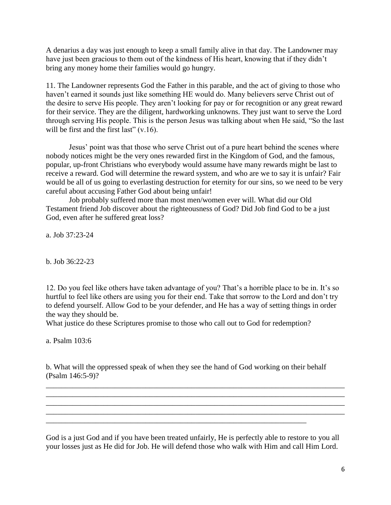A denarius a day was just enough to keep a small family alive in that day. The Landowner may have just been gracious to them out of the kindness of His heart, knowing that if they didn't bring any money home their families would go hungry.

11. The Landowner represents God the Father in this parable, and the act of giving to those who haven't earned it sounds just like something HE would do. Many believers serve Christ out of the desire to serve His people. They aren't looking for pay or for recognition or any great reward for their service. They are the diligent, hardworking unknowns. They just want to serve the Lord through serving His people. This is the person Jesus was talking about when He said, "So the last will be first and the first last" (v.16).

Jesus' point was that those who serve Christ out of a pure heart behind the scenes where nobody notices might be the very ones rewarded first in the Kingdom of God, and the famous, popular, up-front Christians who everybody would assume have many rewards might be last to receive a reward. God will determine the reward system, and who are we to say it is unfair? Fair would be all of us going to everlasting destruction for eternity for our sins, so we need to be very careful about accusing Father God about being unfair!

Job probably suffered more than most men/women ever will. What did our Old Testament friend Job discover about the righteousness of God? Did Job find God to be a just God, even after he suffered great loss?

a. Job 37:23-24

b. Job 36:22-23

12. Do you feel like others have taken advantage of you? That's a horrible place to be in. It's so hurtful to feel like others are using you for their end. Take that sorrow to the Lord and don't try to defend yourself. Allow God to be your defender, and He has a way of setting things in order the way they should be.

What justice do these Scriptures promise to those who call out to God for redemption?

a. Psalm 103:6

b. What will the oppressed speak of when they see the hand of God working on their behalf (Psalm 146:5-9)?

\_\_\_\_\_\_\_\_\_\_\_\_\_\_\_\_\_\_\_\_\_\_\_\_\_\_\_\_\_\_\_\_\_\_\_\_\_\_\_\_\_\_\_\_\_\_\_\_\_\_\_\_\_\_\_\_\_\_\_\_\_\_\_\_\_\_\_\_

\_\_\_\_\_\_\_\_\_\_\_\_\_\_\_\_\_\_\_\_\_\_\_\_\_\_\_\_\_\_\_\_\_\_\_\_\_\_\_\_\_\_\_\_\_\_\_\_\_\_\_\_\_\_\_\_\_\_\_\_\_\_\_\_\_\_\_\_\_\_\_\_\_\_\_\_\_\_ \_\_\_\_\_\_\_\_\_\_\_\_\_\_\_\_\_\_\_\_\_\_\_\_\_\_\_\_\_\_\_\_\_\_\_\_\_\_\_\_\_\_\_\_\_\_\_\_\_\_\_\_\_\_\_\_\_\_\_\_\_\_\_\_\_\_\_\_\_\_\_\_\_\_\_\_\_\_ \_\_\_\_\_\_\_\_\_\_\_\_\_\_\_\_\_\_\_\_\_\_\_\_\_\_\_\_\_\_\_\_\_\_\_\_\_\_\_\_\_\_\_\_\_\_\_\_\_\_\_\_\_\_\_\_\_\_\_\_\_\_\_\_\_\_\_\_\_\_\_\_\_\_\_\_\_\_ \_\_\_\_\_\_\_\_\_\_\_\_\_\_\_\_\_\_\_\_\_\_\_\_\_\_\_\_\_\_\_\_\_\_\_\_\_\_\_\_\_\_\_\_\_\_\_\_\_\_\_\_\_\_\_\_\_\_\_\_\_\_\_\_\_\_\_\_\_\_\_\_\_\_\_\_\_\_

God is a just God and if you have been treated unfairly, He is perfectly able to restore to you all your losses just as He did for Job. He will defend those who walk with Him and call Him Lord.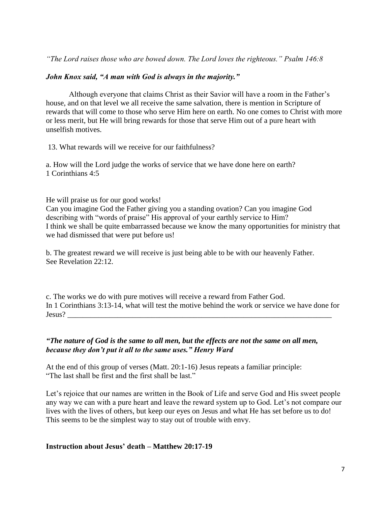*"The Lord raises those who are bowed down. The Lord loves the righteous." Psalm 146:8*

### *John Knox said, "A man with God is always in the majority."*

Although everyone that claims Christ as their Savior will have a room in the Father's house, and on that level we all receive the same salvation, there is mention in Scripture of rewards that will come to those who serve Him here on earth. No one comes to Christ with more or less merit, but He will bring rewards for those that serve Him out of a pure heart with unselfish motives.

13. What rewards will we receive for our faithfulness?

a. How will the Lord judge the works of service that we have done here on earth? 1 Corinthians 4:5

He will praise us for our good works!

Can you imagine God the Father giving you a standing ovation? Can you imagine God describing with "words of praise" His approval of your earthly service to Him? I think we shall be quite embarrassed because we know the many opportunities for ministry that we had dismissed that were put before us!

b. The greatest reward we will receive is just being able to be with our heavenly Father. See Revelation 22:12.

c. The works we do with pure motives will receive a reward from Father God. In 1 Corinthians 3:13-14, what will test the motive behind the work or service we have done for Jesus? \_\_\_\_\_\_\_\_\_\_\_\_\_\_\_\_\_\_\_\_\_\_\_\_\_\_\_\_\_\_\_\_\_\_\_\_\_\_\_\_\_\_\_\_\_\_\_\_\_\_\_\_\_\_\_\_\_\_\_\_\_\_\_\_\_\_\_\_\_

### *"The nature of God is the same to all men, but the effects are not the same on all men, because they don't put it all to the same uses." Henry Ward*

At the end of this group of verses (Matt. 20:1-16) Jesus repeats a familiar principle: "The last shall be first and the first shall be last."

Let's rejoice that our names are written in the Book of Life and serve God and His sweet people any way we can with a pure heart and leave the reward system up to God. Let's not compare our lives with the lives of others, but keep our eyes on Jesus and what He has set before us to do! This seems to be the simplest way to stay out of trouble with envy.

**Instruction about Jesus' death – Matthew 20:17-19**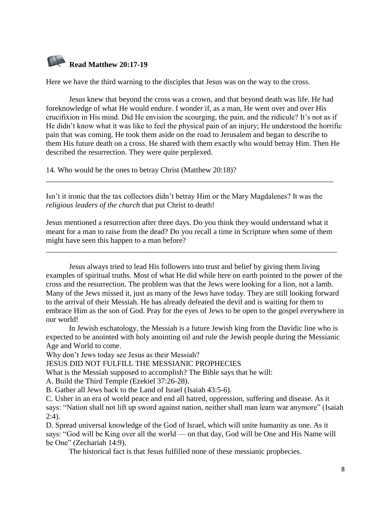

Here we have the third warning to the disciples that Jesus was on the way to the cross.

Jesus knew that beyond the cross was a crown, and that beyond death was life. He had foreknowledge of what He would endure. I wonder if, as a man, He went over and over His crucifixion in His mind. Did He envision the scourging, the pain, and the ridicule? It's not as if He didn't know what it was like to feel the physical pain of an injury; He understood the horrific pain that was coming. He took them aside on the road to Jerusalem and began to describe to them His future death on a cross. He shared with them exactly who would betray Him. Then He described the resurrection. They were quite perplexed.

14. Who would be the ones to betray Christ (Matthew 20:18)?

Isn't it ironic that the tax collectors didn't betray Him or the Mary Magdalenes? It was the *religious leaders of the church* that put Christ to death!

\_\_\_\_\_\_\_\_\_\_\_\_\_\_\_\_\_\_\_\_\_\_\_\_\_\_\_\_\_\_\_\_\_\_\_\_\_\_\_\_\_\_\_\_\_\_\_\_\_\_\_\_\_\_\_\_\_\_\_\_\_\_\_\_\_\_\_\_\_\_\_\_\_\_\_

Jesus mentioned a resurrection after three days. Do you think they would understand what it meant for a man to raise from the dead? Do you recall a time in Scripture when some of them might have seen this happen to a man before?

\_\_\_\_\_\_\_\_\_\_\_\_\_\_\_\_\_\_\_\_\_\_\_\_\_\_\_\_\_\_\_\_\_\_\_\_\_\_\_\_\_\_\_\_\_\_\_\_\_\_\_\_\_\_\_\_\_\_\_\_\_\_\_\_\_\_\_\_\_\_\_\_\_\_\_\_

Jesus always tried to lead His followers into trust and belief by giving them living examples of spiritual truths. Most of what He did while here on earth pointed to the power of the cross and the resurrection. The problem was that the Jews were looking for a lion, not a lamb. Many of the Jews missed it, just as many of the Jews have today. They are still looking forward to the arrival of their Messiah. He has already defeated the devil and is waiting for them to embrace Him as the son of God. Pray for the eyes of Jews to be open to the gospel everywhere in our world!

In [Jewish eschatology,](https://en.wikipedia.org/wiki/Jewish_eschatology) the Messiah is a future Jewish [king](https://en.wikipedia.org/wiki/Monarch) from the [Davidic line](https://en.wikipedia.org/wiki/Davidic_line) who is expected to be anointed with [holy anointing oil](https://en.wikipedia.org/wiki/Holy_anointing_oil) and rule the Jewish people during the [Messianic](https://en.wikipedia.org/wiki/Messianic_Age)  [Age](https://en.wikipedia.org/wiki/Messianic_Age) and [World to come.](https://en.wikipedia.org/wiki/World_to_come)

Why don't Jews today see Jesus as their Messiah?

JESUS DID NOT FULFILL THE MESSIANIC PROPHECIES

What is the Messiah supposed to accomplish? The Bible says that he will:

A. Build the Third Temple [\(Ezekiel 37:26-28\)](https://biblia.com/bible/nasb95/Ezek%2037.26-28).

B. Gather all Jews back to the Land of Israel [\(Isaiah 43:5-6\)](https://biblia.com/bible/nasb95/Isa%2043.5-6).

C. Usher in an era of world peace and end all hatred, oppression, suffering and disease. As it says: "Nation shall not lift up sword against nation, neither shall man learn war anymore" [\(Isaiah](https://biblia.com/bible/nasb95/Isa%202.4)  [2:4\)](https://biblia.com/bible/nasb95/Isa%202.4).

D. Spread universal knowledge of the God of Israel, which will unite humanity as one. As it says: "God will be King over all the world — on that day, God will be One and His Name will be One" [\(Zechariah 14:9\)](https://biblia.com/bible/nasb95/Zech%2014.9).

The historical fact is that Jesus fulfilled none of these messianic prophecies.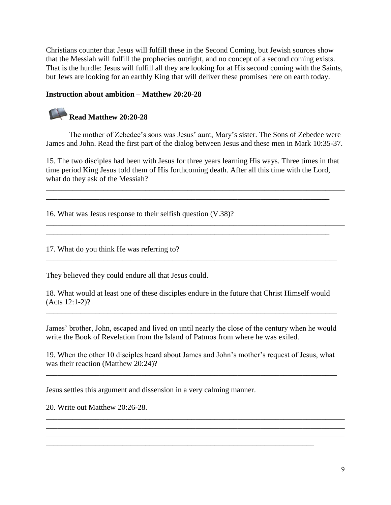Christians counter that Jesus will fulfill these in the Second Coming, but Jewish sources show that the Messiah will fulfill the prophecies outright, and no concept of a second coming exists. That is the hurdle: Jesus will fulfill all they are looking for at His second coming with the Saints, but Jews are looking for an earthly King that will deliver these promises here on earth today.

### **Instruction about ambition – Matthew 20:20-28**

# **Read Matthew 20:20-28**

The mother of Zebedee's sons was Jesus' aunt, Mary's sister. The Sons of Zebedee were James and John. Read the first part of the dialog between Jesus and these men in Mark 10:35-37.

15. The two disciples had been with Jesus for three years learning His ways. Three times in that time period King Jesus told them of His forthcoming death. After all this time with the Lord, what do they ask of the Messiah?

\_\_\_\_\_\_\_\_\_\_\_\_\_\_\_\_\_\_\_\_\_\_\_\_\_\_\_\_\_\_\_\_\_\_\_\_\_\_\_\_\_\_\_\_\_\_\_\_\_\_\_\_\_\_\_\_\_\_\_\_\_\_\_\_\_\_\_\_\_\_\_\_\_\_\_\_\_\_ \_\_\_\_\_\_\_\_\_\_\_\_\_\_\_\_\_\_\_\_\_\_\_\_\_\_\_\_\_\_\_\_\_\_\_\_\_\_\_\_\_\_\_\_\_\_\_\_\_\_\_\_\_\_\_\_\_\_\_\_\_\_\_\_\_\_\_\_\_\_\_\_\_\_

\_\_\_\_\_\_\_\_\_\_\_\_\_\_\_\_\_\_\_\_\_\_\_\_\_\_\_\_\_\_\_\_\_\_\_\_\_\_\_\_\_\_\_\_\_\_\_\_\_\_\_\_\_\_\_\_\_\_\_\_\_\_\_\_\_\_\_\_\_\_\_\_\_\_\_\_\_\_ \_\_\_\_\_\_\_\_\_\_\_\_\_\_\_\_\_\_\_\_\_\_\_\_\_\_\_\_\_\_\_\_\_\_\_\_\_\_\_\_\_\_\_\_\_\_\_\_\_\_\_\_\_\_\_\_\_\_\_\_\_\_\_\_\_\_\_\_\_\_\_\_\_\_

 $\overline{\phantom{a}}$  , and the set of the set of the set of the set of the set of the set of the set of the set of the set of the set of the set of the set of the set of the set of the set of the set of the set of the set of the s

16. What was Jesus response to their selfish question (V.38)?

17. What do you think He was referring to?

They believed they could endure all that Jesus could.

18. What would at least one of these disciples endure in the future that Christ Himself would (Acts 12:1-2)?

James' brother, John, escaped and lived on until nearly the close of the century when he would write the Book of Revelation from the Island of Patmos from where he was exiled.

\_\_\_\_\_\_\_\_\_\_\_\_\_\_\_\_\_\_\_\_\_\_\_\_\_\_\_\_\_\_\_\_\_\_\_\_\_\_\_\_\_\_\_\_\_\_\_\_\_\_\_\_\_\_\_\_\_\_\_\_\_\_\_\_\_\_\_\_\_\_\_\_\_\_\_\_

19. When the other 10 disciples heard about James and John's mother's request of Jesus, what was their reaction (Matthew 20:24)?

\_\_\_\_\_\_\_\_\_\_\_\_\_\_\_\_\_\_\_\_\_\_\_\_\_\_\_\_\_\_\_\_\_\_\_\_\_\_\_\_\_\_\_\_\_\_\_\_\_\_\_\_\_\_\_\_\_\_\_\_\_\_\_\_\_\_\_\_\_\_\_\_\_\_\_\_

\_\_\_\_\_\_\_\_\_\_\_\_\_\_\_\_\_\_\_\_\_\_\_\_\_\_\_\_\_\_\_\_\_\_\_\_\_\_\_\_\_\_\_\_\_\_\_\_\_\_\_\_\_\_\_\_\_\_\_\_\_\_\_\_\_\_\_\_\_\_\_\_\_\_\_\_\_\_ \_\_\_\_\_\_\_\_\_\_\_\_\_\_\_\_\_\_\_\_\_\_\_\_\_\_\_\_\_\_\_\_\_\_\_\_\_\_\_\_\_\_\_\_\_\_\_\_\_\_\_\_\_\_\_\_\_\_\_\_\_\_\_\_\_\_\_\_\_\_\_\_\_\_\_\_\_\_ \_\_\_\_\_\_\_\_\_\_\_\_\_\_\_\_\_\_\_\_\_\_\_\_\_\_\_\_\_\_\_\_\_\_\_\_\_\_\_\_\_\_\_\_\_\_\_\_\_\_\_\_\_\_\_\_\_\_\_\_\_\_\_\_\_\_\_\_\_\_\_\_\_\_\_\_\_\_

\_\_\_\_\_\_\_\_\_\_\_\_\_\_\_\_\_\_\_\_\_\_\_\_\_\_\_\_\_\_\_\_\_\_\_\_\_\_\_\_\_\_\_\_\_\_\_\_\_\_\_\_\_\_\_\_\_\_\_\_\_\_\_\_\_\_\_\_\_\_

Jesus settles this argument and dissension in a very calming manner.

20. Write out Matthew 20:26-28.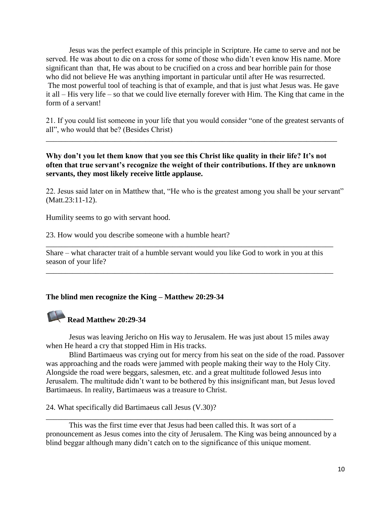Jesus was the perfect example of this principle in Scripture. He came to serve and not be served. He was about to die on a cross for some of those who didn't even know His name. More significant than that, He was about to be crucified on a cross and bear horrible pain for those who did not believe He was anything important in particular until after He was resurrected. The most powerful tool of teaching is that of example, and that is just what Jesus was. He gave it all – His very life – so that we could live eternally forever with Him. The King that came in the form of a servant!

21. If you could list someone in your life that you would consider "one of the greatest servants of all", who would that be? (Besides Christ)

\_\_\_\_\_\_\_\_\_\_\_\_\_\_\_\_\_\_\_\_\_\_\_\_\_\_\_\_\_\_\_\_\_\_\_\_\_\_\_\_\_\_\_\_\_\_\_\_\_\_\_\_\_\_\_\_\_\_\_\_\_\_\_\_\_\_\_\_\_\_\_\_\_\_\_\_

### **Why don't you let them know that you see this Christ like quality in their life? It's not often that true servant's recognize the weight of their contributions. If they are unknown servants, they most likely receive little applause.**

22. Jesus said later on in Matthew that, "He who is the greatest among you shall be your servant" (Matt.23:11-12).

Humility seems to go with servant hood.

23. How would you describe someone with a humble heart?

Share – what character trait of a humble servant would you like God to work in you at this season of your life?

\_\_\_\_\_\_\_\_\_\_\_\_\_\_\_\_\_\_\_\_\_\_\_\_\_\_\_\_\_\_\_\_\_\_\_\_\_\_\_\_\_\_\_\_\_\_\_\_\_\_\_\_\_\_\_\_\_\_\_\_\_\_\_\_\_\_\_\_\_\_\_\_\_\_\_

\_\_\_\_\_\_\_\_\_\_\_\_\_\_\_\_\_\_\_\_\_\_\_\_\_\_\_\_\_\_\_\_\_\_\_\_\_\_\_\_\_\_\_\_\_\_\_\_\_\_\_\_\_\_\_\_\_\_\_\_\_\_\_\_\_\_\_\_\_\_\_\_\_\_\_

### **The blind men recognize the King – Matthew 20:29-34**

## **Read Matthew 20:29-34**

Jesus was leaving Jericho on His way to Jerusalem. He was just about 15 miles away when He heard a cry that stopped Him in His tracks.

Blind Bartimaeus was crying out for mercy from his seat on the side of the road. Passover was approaching and the roads were jammed with people making their way to the Holy City. Alongside the road were beggars, salesmen, etc. and a great multitude followed Jesus into Jerusalem. The multitude didn't want to be bothered by this insignificant man, but Jesus loved Bartimaeus. In reality, Bartimaeus was a treasure to Christ.

24. What specifically did Bartimaeus call Jesus (V.30)?

This was the first time ever that Jesus had been called this. It was sort of a pronouncement as Jesus comes into the city of Jerusalem. The King was being announced by a blind beggar although many didn't catch on to the significance of this unique moment.

\_\_\_\_\_\_\_\_\_\_\_\_\_\_\_\_\_\_\_\_\_\_\_\_\_\_\_\_\_\_\_\_\_\_\_\_\_\_\_\_\_\_\_\_\_\_\_\_\_\_\_\_\_\_\_\_\_\_\_\_\_\_\_\_\_\_\_\_\_\_\_\_\_\_\_